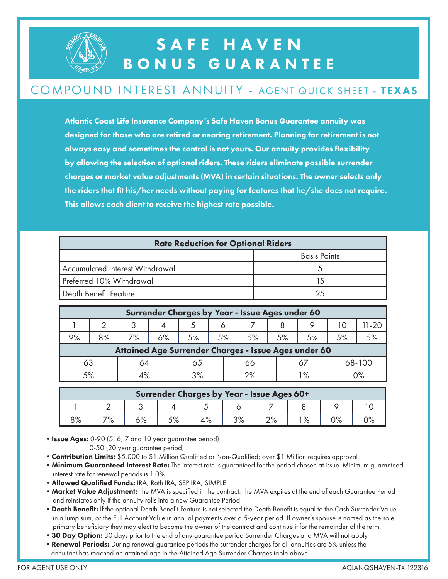

## SAFE HAVEN BONUS GUARANTEE

#### COMPOUND INTEREST ANNUITY - AGENT QUICK SHEET - TEXAS

Atlantic Coast Life Insurance Company's Safe Haven Bonus Guarantee annuity was designed for those who are retired or nearing retirement. Planning for retirement is not always easy and sometimes the control is not yours. Our annuity provides flexibility by allowing the selection of optional riders. These riders eliminate possible surrender charges or market value adjustments (MVA) in certain situations. The owner selects only the riders that fit his/her needs without paying for features that he/she does not require. This allows each client to receive the highest rate possible.

| <b>Rate Reduction for Optional Riders</b> |                     |  |  |  |  |
|-------------------------------------------|---------------------|--|--|--|--|
|                                           | <b>Basis Points</b> |  |  |  |  |
| Accumulated Interest Withdrawal           |                     |  |  |  |  |
| Preferred 10% Withdrawal                  | 15                  |  |  |  |  |
| Death Benefit Feature                     |                     |  |  |  |  |

| Surrender Charges by Year - Issue Ages under 60      |    |    |    |    |    |    |    |               |        |          |  |
|------------------------------------------------------|----|----|----|----|----|----|----|---------------|--------|----------|--|
|                                                      |    | 3  |    |    |    |    |    |               |        | $1 - 20$ |  |
| 9%                                                   | 8% | 7% | 6% | 5% | 5% | 5% | 5% | 5%            | 5%     | 5%       |  |
| Attained Age Surrender Charges - Issue Ages under 60 |    |    |    |    |    |    |    |               |        |          |  |
| 63                                                   |    | 64 | 65 |    |    | 66 |    |               | 68-100 |          |  |
| 5%                                                   |    |    | 3% |    |    | 2% |    | $\frac{9}{6}$ |        | 0%       |  |

| Surrender Charges by Year - Issue Ages 60+ |     |      |    |                      |          |        |     |    |  |  |  |
|--------------------------------------------|-----|------|----|----------------------|----------|--------|-----|----|--|--|--|
|                                            |     |      |    |                      |          |        |     |    |  |  |  |
| O <sub>O</sub><br>O /o                     | 70/ | 0/ ٢ | 5% | $\Lambda$ O/<br>4 /o | $\Omega$ | $\sim$ | 10/ | 0% |  |  |  |

• Issue Ages: 0-90 (5, 6, 7 and 10 year guarantee period)

0-50 (20 year guarantee period)

- Contribution Limits: \$5,000 to \$1 Million Qualified or Non-Qualified; over \$1 Million requires approval
- **Minimum Guaranteed Interest Rate:** The interest rate is guaranteed for the period chosen at issue. Minimum guaranteed interest rate for renewal periods is 1.0%
- •Allowed Qualified Funds: IRA, Roth IRA, SEP IRA, SIMPLE
- Market Value Adjustment: The MVA is specified in the contract. The MVA expires at the end of each Guarantee Period and reinstates only if the annuity rolls into a new Guarantee Period
- Death Benefit: If the optional Death Benefit Feature is not selected the Death Benefit is equal to the Cash Surrender Value in a lump sum, or the Full Account Value in annual payments over a 5-year period. If owner's spouse is named as the sole, primary beneficiary they may elect to become the owner of the contract and continue it for the remainder of the term.
- 30 Day Option: 30 days prior to the end of any guarantee period Surrender Charges and MVA will not apply
- Renewal Periods: During renewal guarantee periods the surrender charges for all annuities are 5% unless the annuitant has reached an attained age in the Attained Age Surrender Charges table above.